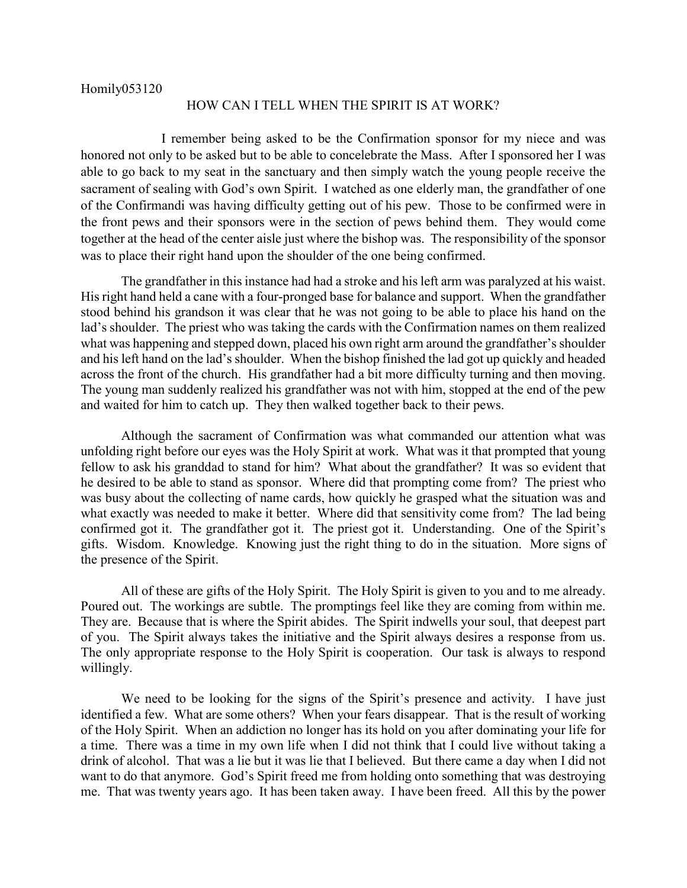Homily053120

## HOW CAN I TELL WHEN THE SPIRIT IS AT WORK?

I remember being asked to be the Confirmation sponsor for my niece and was honored not only to be asked but to be able to concelebrate the Mass. After I sponsored her I was able to go back to my seat in the sanctuary and then simply watch the young people receive the sacrament of sealing with God's own Spirit. I watched as one elderly man, the grandfather of one of the Confirmandi was having difficulty getting out of his pew. Those to be confirmed were in the front pews and their sponsors were in the section of pews behind them. They would come together at the head of the center aisle just where the bishop was. The responsibility of the sponsor was to place their right hand upon the shoulder of the one being confirmed.

The grandfather in this instance had had a stroke and his left arm was paralyzed at his waist. His right hand held a cane with a four-pronged base for balance and support. When the grandfather stood behind his grandson it was clear that he was not going to be able to place his hand on the lad's shoulder. The priest who was taking the cards with the Confirmation names on them realized what was happening and stepped down, placed his own right arm around the grandfather's shoulder and his left hand on the lad's shoulder. When the bishop finished the lad got up quickly and headed across the front of the church. His grandfather had a bit more difficulty turning and then moving. The young man suddenly realized his grandfather was not with him, stopped at the end of the pew and waited for him to catch up. They then walked together back to their pews.

Although the sacrament of Confirmation was what commanded our attention what was unfolding right before our eyes was the Holy Spirit at work. What was it that prompted that young fellow to ask his granddad to stand for him? What about the grandfather? It was so evident that he desired to be able to stand as sponsor. Where did that prompting come from? The priest who was busy about the collecting of name cards, how quickly he grasped what the situation was and what exactly was needed to make it better. Where did that sensitivity come from? The lad being confirmed got it. The grandfather got it. The priest got it. Understanding. One of the Spirit's gifts. Wisdom. Knowledge. Knowing just the right thing to do in the situation. More signs of the presence of the Spirit.

All of these are gifts of the Holy Spirit. The Holy Spirit is given to you and to me already. Poured out. The workings are subtle. The promptings feel like they are coming from within me. They are. Because that is where the Spirit abides. The Spirit indwells your soul, that deepest part of you. The Spirit always takes the initiative and the Spirit always desires a response from us. The only appropriate response to the Holy Spirit is cooperation. Our task is always to respond willingly.

We need to be looking for the signs of the Spirit's presence and activity. I have just identified a few. What are some others? When your fears disappear. That is the result of working of the Holy Spirit. When an addiction no longer has its hold on you after dominating your life for a time. There was a time in my own life when I did not think that I could live without taking a drink of alcohol. That was a lie but it was lie that I believed. But there came a day when I did not want to do that anymore. God's Spirit freed me from holding onto something that was destroying me. That was twenty years ago. It has been taken away. I have been freed. All this by the power